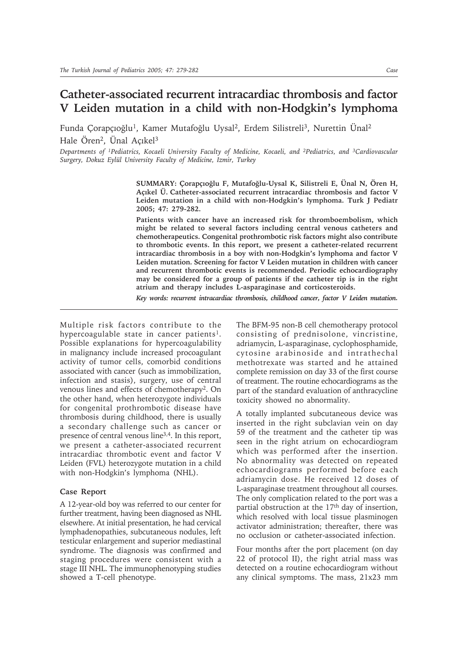## **Catheter-associated recurrent intracardiac thrombosis and factor V Leiden mutation in a child with non-Hodgkin's lymphoma**

Funda Çorapçıoğlu<sup>1</sup>, Kamer Mutafoğlu Uysal<sup>2</sup>, Erdem Silistreli<sup>3</sup>, Nurettin Ünal<sup>2</sup> Hale Ören<sup>2</sup>, Ünal Açıkel<sup>3</sup>

*Departments of 1Pediatrics, Kocaeli University Faculty of Medicine, Kocaeli, and 2Pediatrics, and 3Cardiovascular Surgery, Dokuz Eylül University Faculty of Medicine, Izmir, Turkey*

> **SUMMARY: Çorapçıoğlu F, Mutafoğlu-Uysal K, Silistreli E, Ünal N, Ören H, Açıkel Ü. Catheter-associated recurrent intracardiac thrombosis and factor V Leiden mutation in a child with non-Hodgkin's lymphoma. Turk J Pediatr 2005; 47: 279-282.**

> **Patients with cancer have an increased risk for thromboembolism, which might be related to several factors including central venous catheters and chemotherapeutics. Congenital prothrombotic risk factors might also contribute to thrombotic events. In this report, we present a catheter-related recurrent intracardiac thrombosis in a boy with non-Hodgkin's lymphoma and factor V Leiden mutation. Screening for factor V Leiden mutation in children with cancer and recurrent thrombotic events is recommended. Periodic echocardiography may be considered for a group of patients if the catheter tip is in the right atrium and therapy includes L-asparaginase and corticosteroids.**

> *Key words: recurrent intracardiac thrombosis, childhood cancer, factor V Leiden mutation.*

Multiple risk factors contribute to the hypercoagulable state in cancer patients<sup>1</sup>. Possible explanations for hypercoagulability in malignancy include increased procoagulant activity of tumor cells, comorbid conditions associated with cancer (such as immobilization, infection and stasis), surgery, use of central venous lines and effects of chemotherapy2. On the other hand, when heterozygote individuals for congenital prothrombotic disease have thrombosis during childhood, there is usually a secondary challenge such as cancer or presence of central venous line3,4. In this report, we present a catheter-associated recurrent intracardiac thrombotic event and factor V Leiden (FVL) heterozygote mutation in a child with non-Hodgkin's lymphoma (NHL).

## **Case Report**

A 12-year-old boy was referred to our center for further treatment, having been diagnosed as NHL elsewhere. At initial presentation, he had cervical lymphadenopathies, subcutaneous nodules, left testicular enlargement and superior mediastinal syndrome. The diagnosis was confirmed and staging procedures were consistent with a stage III NHL. The immunophenotyping studies showed a T-cell phenotype.

The BFM-95 non-B cell chemotherapy protocol consisting of prednisolone, vincristine, adriamycin, L-asparaginase, cyclophosphamide, cytosine arabinoside and intrathechal methotrexate was started and he attained complete remission on day 33 of the first course of treatment. The routine echocardiograms as the part of the standard evaluation of anthracycline toxicity showed no abnormality.

A totally implanted subcutaneous device was inserted in the right subclavian vein on day 59 of the treatment and the catheter tip was seen in the right atrium on echocardiogram which was performed after the insertion. No abnormality was detected on repeated echocardiograms performed before each adriamycin dose. He received 12 doses of L-asparaginase treatment throughout all courses. The only complication related to the port was a partial obstruction at the 17<sup>th</sup> day of insertion, which resolved with local tissue plasminogen activator administration; thereafter, there was no occlusion or catheter-associated infection.

Four months after the port placement (on day 22 of protocol II), the right atrial mass was detected on a routine echocardiogram without any clinical symptoms. The mass, 21x23 mm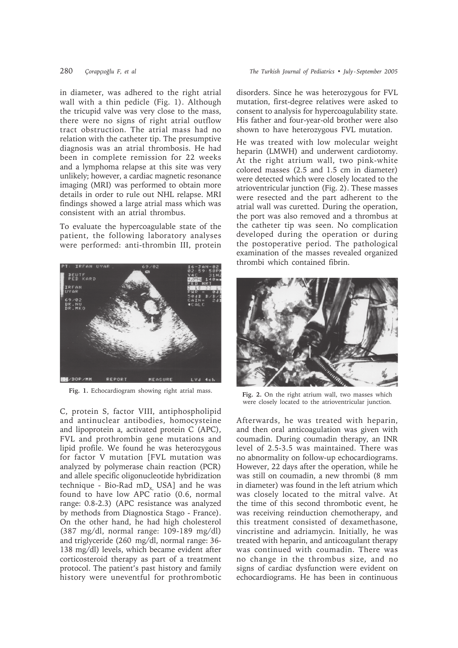in diameter, was adhered to the right atrial wall with a thin pedicle (Fig. 1). Although the tricupid valve was very close to the mass, there were no signs of right atrial outflow tract obstruction. The atrial mass had no relation with the catheter tip. The presumptive diagnosis was an atrial thrombosis. He had been in complete remission for 22 weeks and a lymphoma relapse at this site was very unlikely; however, a cardiac magnetic resonance imaging (MRI) was performed to obtain more details in order to rule out NHL relapse. MRI findings showed a large atrial mass which was consistent with an atrial thrombus.

To evaluate the hypercoagulable state of the patient, the following laboratory analyses were performed: anti-thrombin III, protein



**Fig. 1.** Echocardiogram showing right atrial mass.

C, protein S, factor VIII, antiphospholipid and antinuclear antibodies, homocysteine and lipoprotein a, activated protein C (APC), FVL and prothrombin gene mutations and lipid profile. We found he was heterozygous for factor V mutation [FVL mutation was analyzed by polymerase chain reaction (PCR) and allele specific oligonucleotide hybridization technique - Bio-Rad  $mD_v$ , USA] and he was found to have low APC ratio (0.6, normal range: 0.8-2.3) (APC resistance was analyzed by methods from Diagnostica Stago - France). On the other hand, he had high cholesterol (387 mg/dl, normal range: 109-189 mg/dl) and triglyceride (260 mg/dl, normal range: 36- 138 mg/dl) levels, which became evident after corticosteroid therapy as part of a treatment protocol. The patient's past history and family history were uneventful for prothrombotic disorders. Since he was heterozygous for FVL mutation, first-degree relatives were asked to consent to analysis for hypercoagulability state. His father and four-year-old brother were also shown to have heterozygous FVL mutation.

He was treated with low molecular weight heparin (LMWH) and underwent cardiotomy. At the right atrium wall, two pink-white colored masses (2.5 and 1.5 cm in diameter) were detected which were closely located to the atrioventricular junction (Fig. 2). These masses were resected and the part adherent to the atrial wall was curetted. During the operation, the port was also removed and a thrombus at the catheter tip was seen. No complication developed during the operation or during the postoperative period. The pathological examination of the masses revealed organized thrombi which contained fibrin.



**Fig. 2.** On the right atrium wall, two masses which were closely located to the atrioventricular junction.

Afterwards, he was treated with heparin, and then oral anticoagulation was given with coumadin. During coumadin therapy, an INR level of 2.5-3.5 was maintained. There was no abnormality on follow-up echocardiograms. However, 22 days after the operation, while he was still on coumadin, a new thrombi (8 mm in diameter) was found in the left atrium which was closely located to the mitral valve. At the time of this second thrombotic event, he was receiving reinduction chemotherapy, and this treatment consisted of dexamethasone, vincristine and adriamycin. Initially, he was treated with heparin, and anticoagulant therapy was continued with coumadin. There was no change in the thrombus size, and no signs of cardiac dysfunction were evident on echocardiograms. He has been in continuous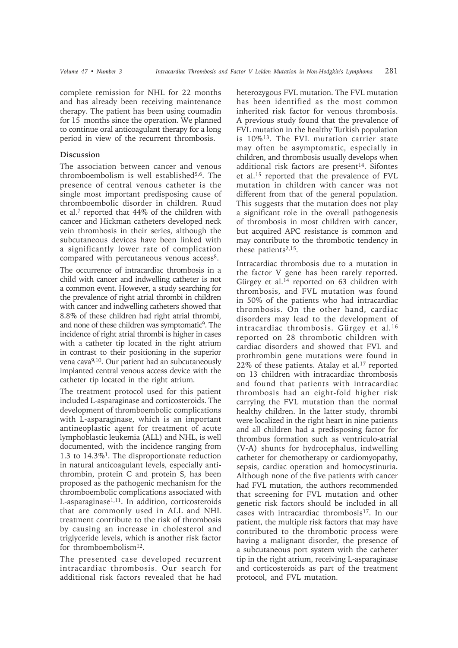complete remission for NHL for 22 months and has already been receiving maintenance therapy. The patient has been using coumadin for 15 months since the operation. We planned to continue oral anticoagulant therapy for a long period in view of the recurrent thrombosis.

## **Discussion**

The association between cancer and venous thromboembolism is well established5,6. The presence of central venous catheter is the single most important predisposing cause of thromboembolic disorder in children. Ruud et al.7 reported that 44% of the children with cancer and Hickman catheters developed neck vein thrombosis in their series, although the subcutaneous devices have been linked with a significantly lower rate of complication compared with percutaneous venous access<sup>8</sup>.

The occurrence of intracardiac thrombosis in a child with cancer and indwelling catheter is not a common event. However, a study searching for the prevalence of right atrial thrombi in children with cancer and indwelling catheters showed that 8.8% of these children had right atrial thrombi, and none of these children was symptomatic9. The incidence of right atrial thrombi is higher in cases with a catheter tip located in the right atrium in contrast to their positioning in the superior vena cava9,10. Our patient had an subcutaneously implanted central venous access device with the catheter tip located in the right atrium.

The treatment protocol used for this patient included L-asparaginase and corticosteroids. The development of thromboembolic complications with L-asparaginase, which is an important antineoplastic agent for treatment of acute lymphoblastic leukemia (ALL) and NHL, is well documented, with the incidence ranging from 1.3 to 14.3%1. The disproportionate reduction in natural anticoagulant levels, especially antithrombin, protein C and protein S, has been proposed as the pathogenic mechanism for the thromboembolic complications associated with L-asparaginase1,11. In addition, corticosteroids that are commonly used in ALL and NHL treatment contribute to the risk of thrombosis by causing an increase in cholesterol and triglyceride levels, which is another risk factor for thromboembolism12.

The presented case developed recurrent intracardiac thrombosis. Our search for additional risk factors revealed that he had

heterozygous FVL mutation. The FVL mutation has been identified as the most common inherited risk factor for venous thrombosis. A previous study found that the prevalence of FVL mutation in the healthy Turkish population is 10%13. The FVL mutation carrier state may often be asymptomatic, especially in children, and thrombosis usually develops when additional risk factors are present<sup>14</sup>. Sifontes et al.15 reported that the prevalence of FVL mutation in children with cancer was not different from that of the general population. This suggests that the mutation does not play a significant role in the overall pathogenesis of thrombosis in most children with cancer, but acquired APC resistance is common and may contribute to the thrombotic tendency in these patients<sup>2,15</sup>.

Intracardiac thrombosis due to a mutation in the factor V gene has been rarely reported. Gürgey et al.<sup>14</sup> reported on 63 children with thrombosis, and FVL mutation was found in 50% of the patients who had intracardiac thrombosis. On the other hand, cardiac disorders may lead to the development of intracardiac thrombosis. Gürgey et al.<sup>16</sup> reported on 28 thrombotic children with cardiac disorders and showed that FVL and prothrombin gene mutations were found in  $22\%$  of these patients. Atalay et al.<sup>17</sup> reported on 13 children with intracardiac thrombosis and found that patients with intracardiac thrombosis had an eight-fold higher risk carrying the FVL mutation than the normal healthy children. In the latter study, thrombi were localized in the right heart in nine patients and all children had a predisposing factor for thrombus formation such as ventriculo-atrial (V-A) shunts for hydrocephalus, indwelling catheter for chemotherapy or cardiomyopathy, sepsis, cardiac operation and homocystinuria. Although none of the five patients with cancer had FVL mutation, the authors recommended that screening for FVL mutation and other genetic risk factors should be included in all cases with intracardiac thrombosis<sup>17</sup>. In our patient, the multiple risk factors that may have contributed to the thrombotic process were having a malignant disorder, the presence of a subcutaneous port system with the catheter tip in the right atrium, receiving L-asparaginase and corticosteroids as part of the treatment protocol, and FVL mutation.